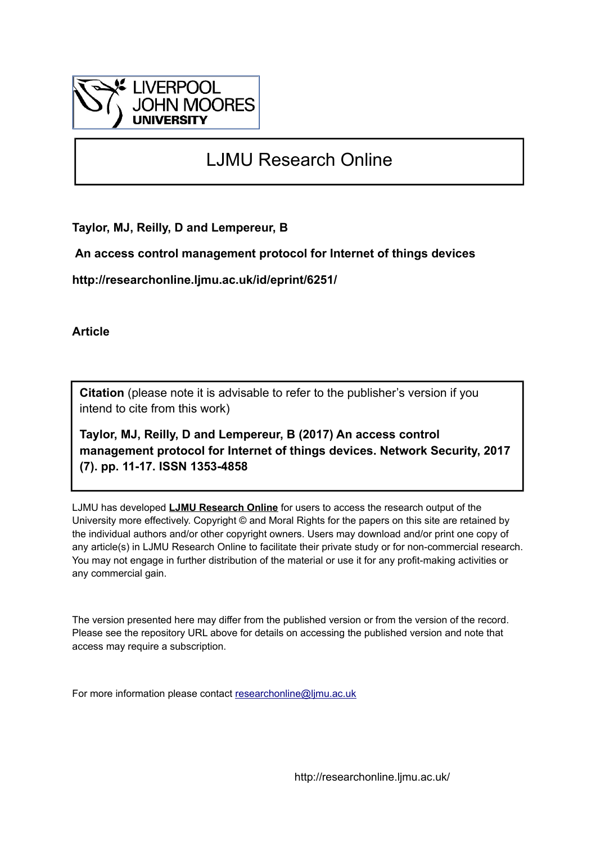

# LJMU Research Online

**Taylor, MJ, Reilly, D and Lempereur, B**

 **An access control management protocol for Internet of things devices**

**http://researchonline.ljmu.ac.uk/id/eprint/6251/**

**Article**

**Citation** (please note it is advisable to refer to the publisher's version if you intend to cite from this work)

**Taylor, MJ, Reilly, D and Lempereur, B (2017) An access control management protocol for Internet of things devices. Network Security, 2017 (7). pp. 11-17. ISSN 1353-4858** 

LJMU has developed **[LJMU Research Online](http://researchonline.ljmu.ac.uk/)** for users to access the research output of the University more effectively. Copyright © and Moral Rights for the papers on this site are retained by the individual authors and/or other copyright owners. Users may download and/or print one copy of any article(s) in LJMU Research Online to facilitate their private study or for non-commercial research. You may not engage in further distribution of the material or use it for any profit-making activities or any commercial gain.

The version presented here may differ from the published version or from the version of the record. Please see the repository URL above for details on accessing the published version and note that access may require a subscription.

For more information please contact [researchonline@ljmu.ac.uk](mailto:researchonline@ljmu.ac.uk)

http://researchonline.ljmu.ac.uk/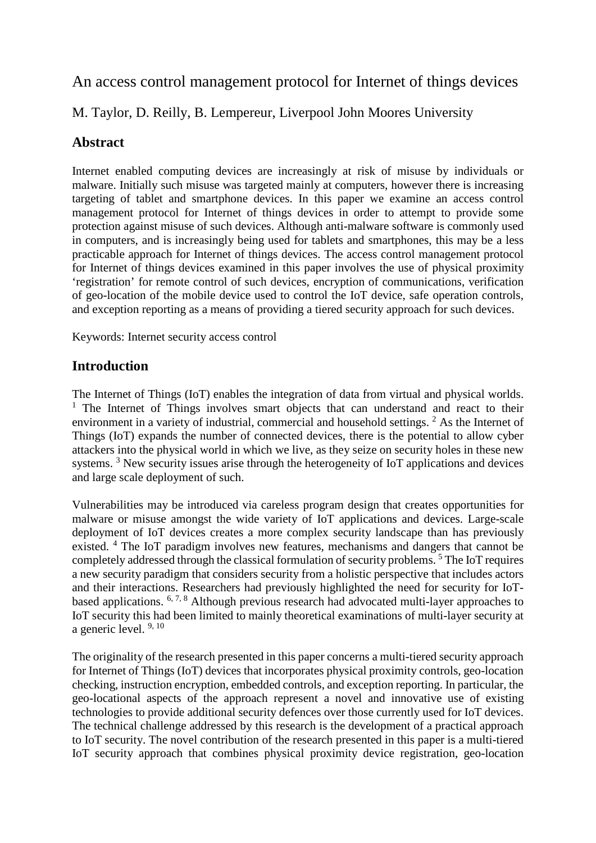# An access control management protocol for Internet of things devices

## M. Taylor, D. Reilly, B. Lempereur, Liverpool John Moores University

### **Abstract**

Internet enabled computing devices are increasingly at risk of misuse by individuals or malware. Initially such misuse was targeted mainly at computers, however there is increasing targeting of tablet and smartphone devices. In this paper we examine an access control management protocol for Internet of things devices in order to attempt to provide some protection against misuse of such devices. Although anti-malware software is commonly used in computers, and is increasingly being used for tablets and smartphones, this may be a less practicable approach for Internet of things devices. The access control management protocol for Internet of things devices examined in this paper involves the use of physical proximity 'registration' for remote control of such devices, encryption of communications, verification of geo-location of the mobile device used to control the IoT device, safe operation controls, and exception reporting as a means of providing a tiered security approach for such devices.

Keywords: Internet security access control

### **Introduction**

The Internet of Things (IoT) enables the integration of data from virtual and physical worlds. <sup>1</sup> The Internet of Things involves smart objects that can understand and react to their environment in a variety of industrial, commercial and household settings. <sup>2</sup> As the Internet of Things (IoT) expands the number of connected devices, there is the potential to allow cyber attackers into the physical world in which we live, as they seize on security holes in these new systems.<sup>3</sup> New security issues arise through the heterogeneity of IoT applications and devices and large scale deployment of such.

Vulnerabilities may be introduced via careless program design that creates opportunities for malware or misuse amongst the wide variety of IoT applications and devices. Large-scale deployment of IoT devices creates a more complex security landscape than has previously existed. <sup>4</sup> The IoT paradigm involves new features, mechanisms and dangers that cannot be completely addressed through the classical formulation of security problems. <sup>5</sup> The IoT requires a new security paradigm that considers security from a holistic perspective that includes actors and their interactions. Researchers had previously highlighted the need for security for IoTbased applications. 6, 7, 8 Although previous research had advocated multi-layer approaches to IoT security this had been limited to mainly theoretical examinations of multi-layer security at a generic level. 9, 10

The originality of the research presented in this paper concerns a multi-tiered security approach for Internet of Things (IoT) devices that incorporates physical proximity controls, geo-location checking, instruction encryption, embedded controls, and exception reporting. In particular, the geo-locational aspects of the approach represent a novel and innovative use of existing technologies to provide additional security defences over those currently used for IoT devices. The technical challenge addressed by this research is the development of a practical approach to IoT security. The novel contribution of the research presented in this paper is a multi-tiered IoT security approach that combines physical proximity device registration, geo-location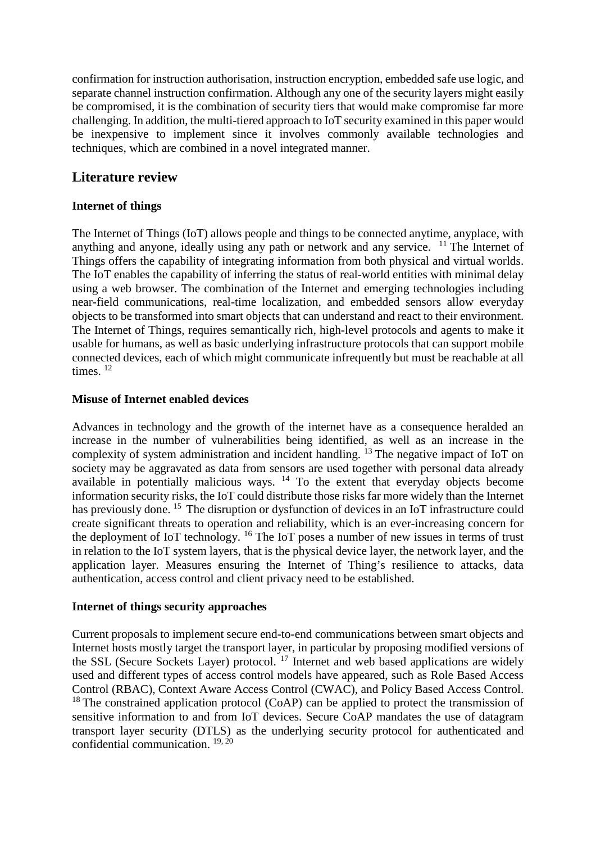confirmation for instruction authorisation, instruction encryption, embedded safe use logic, and separate channel instruction confirmation. Although any one of the security layers might easily be compromised, it is the combination of security tiers that would make compromise far more challenging. In addition, the multi-tiered approach to IoT security examined in this paper would be inexpensive to implement since it involves commonly available technologies and techniques, which are combined in a novel integrated manner.

### **Literature review**

### **Internet of things**

The Internet of Things (IoT) allows people and things to be connected anytime, anyplace, with anything and anyone, ideally using any path or network and any service.  $11$  The Internet of Things offers the capability of integrating information from both physical and virtual worlds. The IoT enables the capability of inferring the status of real-world entities with minimal delay using a web browser. The combination of the Internet and emerging technologies including near-field communications, real-time localization, and embedded sensors allow everyday objects to be transformed into smart objects that can understand and react to their environment. The Internet of Things, requires semantically rich, high-level protocols and agents to make it usable for humans, as well as basic underlying infrastructure protocols that can support mobile connected devices, each of which might communicate infrequently but must be reachable at all times.<sup>12</sup>

#### **Misuse of Internet enabled devices**

Advances in technology and the growth of the internet have as a consequence heralded an increase in the number of vulnerabilities being identified, as well as an increase in the complexity of system administration and incident handling. 13 The negative impact of IoT on society may be aggravated as data from sensors are used together with personal data already available in potentially malicious ways. <sup>14</sup> To the extent that everyday objects become information security risks, the IoT could distribute those risks far more widely than the Internet has previously done. <sup>15</sup> The disruption or dysfunction of devices in an IoT infrastructure could create significant threats to operation and reliability, which is an ever-increasing concern for the deployment of IoT technology. <sup>16</sup> The IoT poses a number of new issues in terms of trust in relation to the IoT system layers, that is the physical device layer, the network layer, and the application layer. Measures ensuring the Internet of Thing's resilience to attacks, data authentication, access control and client privacy need to be established.

#### **Internet of things security approaches**

Current proposals to implement secure end-to-end communications between smart objects and Internet hosts mostly target the transport layer, in particular by proposing modified versions of the SSL (Secure Sockets Layer) protocol. <sup>17</sup> Internet and web based applications are widely used and different types of access control models have appeared, such as Role Based Access Control (RBAC), Context Aware Access Control (CWAC), and Policy Based Access Control.  $18$  The constrained application protocol (CoAP) can be applied to protect the transmission of sensitive information to and from IoT devices. Secure CoAP mandates the use of datagram transport layer security (DTLS) as the underlying security protocol for authenticated and confidential communication. 19, 20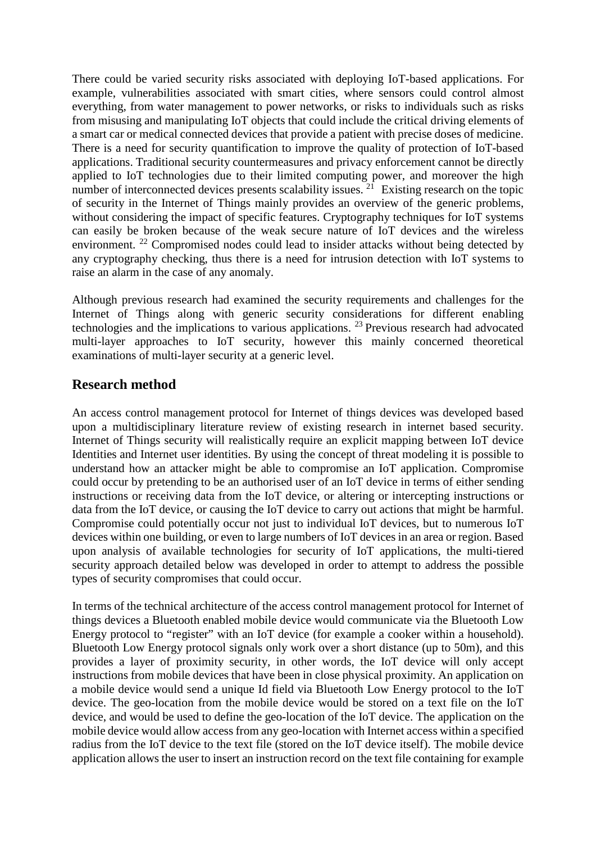There could be varied security risks associated with deploying IoT-based applications. For example, vulnerabilities associated with smart cities, where sensors could control almost everything, from water management to power networks, or risks to individuals such as risks from misusing and manipulating IoT objects that could include the critical driving elements of a smart car or medical connected devices that provide a patient with precise doses of medicine. There is a need for security quantification to improve the quality of protection of IoT-based applications. Traditional security countermeasures and privacy enforcement cannot be directly applied to IoT technologies due to their limited computing power, and moreover the high number of interconnected devices presents scalability issues.<sup>21</sup> Existing research on the topic of security in the Internet of Things mainly provides an overview of the generic problems, without considering the impact of specific features. Cryptography techniques for IoT systems can easily be broken because of the weak secure nature of IoT devices and the wireless environment.<sup>22</sup> Compromised nodes could lead to insider attacks without being detected by any cryptography checking, thus there is a need for intrusion detection with IoT systems to raise an alarm in the case of any anomaly.

Although previous research had examined the security requirements and challenges for the Internet of Things along with generic security considerations for different enabling technologies and the implications to various applications. 23 Previous research had advocated multi-layer approaches to IoT security, however this mainly concerned theoretical examinations of multi-layer security at a generic level.

### **Research method**

An access control management protocol for Internet of things devices was developed based upon a multidisciplinary literature review of existing research in internet based security. Internet of Things security will realistically require an explicit mapping between IoT device Identities and Internet user identities. By using the concept of threat modeling it is possible to understand how an attacker might be able to compromise an IoT application. Compromise could occur by pretending to be an authorised user of an IoT device in terms of either sending instructions or receiving data from the IoT device, or altering or intercepting instructions or data from the IoT device, or causing the IoT device to carry out actions that might be harmful. Compromise could potentially occur not just to individual IoT devices, but to numerous IoT devices within one building, or even to large numbers of IoT devices in an area or region. Based upon analysis of available technologies for security of IoT applications, the multi-tiered security approach detailed below was developed in order to attempt to address the possible types of security compromises that could occur.

In terms of the technical architecture of the access control management protocol for Internet of things devices a Bluetooth enabled mobile device would communicate via the Bluetooth Low Energy protocol to "register" with an IoT device (for example a cooker within a household). Bluetooth Low Energy protocol signals only work over a short distance (up to 50m), and this provides a layer of proximity security, in other words, the IoT device will only accept instructions from mobile devices that have been in close physical proximity. An application on a mobile device would send a unique Id field via Bluetooth Low Energy protocol to the IoT device. The geo-location from the mobile device would be stored on a text file on the IoT device, and would be used to define the geo-location of the IoT device. The application on the mobile device would allow access from any geo-location with Internet access within a specified radius from the IoT device to the text file (stored on the IoT device itself). The mobile device application allows the user to insert an instruction record on the text file containing for example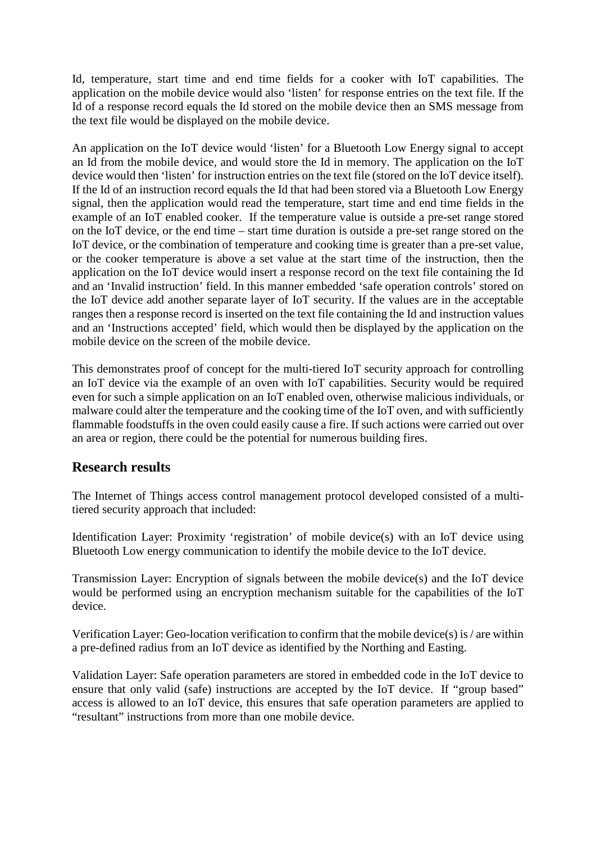Id, temperature, start time and end time fields for a cooker with IoT capabilities. The application on the mobile device would also 'listen' for response entries on the text file. If the Id of a response record equals the Id stored on the mobile device then an SMS message from the text file would be displayed on the mobile device.

An application on the IoT device would 'listen' for a Bluetooth Low Energy signal to accept an Id from the mobile device, and would store the Id in memory. The application on the IoT device would then 'listen' for instruction entries on the text file (stored on the IoT device itself). If the Id of an instruction record equals the Id that had been stored via a Bluetooth Low Energy signal, then the application would read the temperature, start time and end time fields in the example of an IoT enabled cooker. If the temperature value is outside a pre-set range stored on the IoT device, or the end time – start time duration is outside a pre-set range stored on the IoT device, or the combination of temperature and cooking time is greater than a pre-set value, or the cooker temperature is above a set value at the start time of the instruction, then the application on the IoT device would insert a response record on the text file containing the Id and an 'Invalid instruction' field. In this manner embedded 'safe operation controls' stored on the IoT device add another separate layer of IoT security. If the values are in the acceptable ranges then a response record is inserted on the text file containing the Id and instruction values and an 'Instructions accepted' field, which would then be displayed by the application on the mobile device on the screen of the mobile device.

This demonstrates proof of concept for the multi-tiered IoT security approach for controlling an IoT device via the example of an oven with IoT capabilities. Security would be required even for such a simple application on an IoT enabled oven, otherwise malicious individuals, or malware could alter the temperature and the cooking time of the IoT oven, and with sufficiently flammable foodstuffs in the oven could easily cause a fire. If such actions were carried out over an area or region, there could be the potential for numerous building fires.

### **Research results**

The Internet of Things access control management protocol developed consisted of a multitiered security approach that included:

Identification Layer: Proximity 'registration' of mobile device(s) with an IoT device using Bluetooth Low energy communication to identify the mobile device to the IoT device.

Transmission Layer: Encryption of signals between the mobile device(s) and the IoT device would be performed using an encryption mechanism suitable for the capabilities of the IoT device.

Verification Layer: Geo-location verification to confirm that the mobile device(s) is / are within a pre-defined radius from an IoT device as identified by the Northing and Easting.

Validation Layer: Safe operation parameters are stored in embedded code in the IoT device to ensure that only valid (safe) instructions are accepted by the IoT device. If "group based" access is allowed to an IoT device, this ensures that safe operation parameters are applied to "resultant" instructions from more than one mobile device.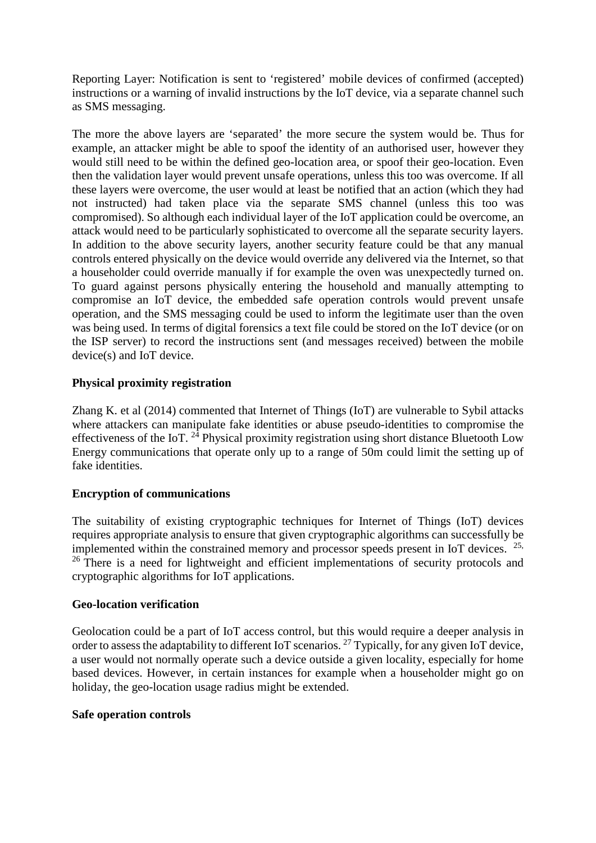Reporting Layer: Notification is sent to 'registered' mobile devices of confirmed (accepted) instructions or a warning of invalid instructions by the IoT device, via a separate channel such as SMS messaging.

The more the above layers are 'separated' the more secure the system would be. Thus for example, an attacker might be able to spoof the identity of an authorised user, however they would still need to be within the defined geo-location area, or spoof their geo-location. Even then the validation layer would prevent unsafe operations, unless this too was overcome. If all these layers were overcome, the user would at least be notified that an action (which they had not instructed) had taken place via the separate SMS channel (unless this too was compromised). So although each individual layer of the IoT application could be overcome, an attack would need to be particularly sophisticated to overcome all the separate security layers. In addition to the above security layers, another security feature could be that any manual controls entered physically on the device would override any delivered via the Internet, so that a householder could override manually if for example the oven was unexpectedly turned on. To guard against persons physically entering the household and manually attempting to compromise an IoT device, the embedded safe operation controls would prevent unsafe operation, and the SMS messaging could be used to inform the legitimate user than the oven was being used. In terms of digital forensics a text file could be stored on the IoT device (or on the ISP server) to record the instructions sent (and messages received) between the mobile device(s) and IoT device.

### **Physical proximity registration**

Zhang K. et al (2014) commented that Internet of Things (IoT) are vulnerable to Sybil attacks where attackers can manipulate fake identities or abuse pseudo-identities to compromise the effectiveness of the IoT.  $24$  Physical proximity registration using short distance Bluetooth Low Energy communications that operate only up to a range of 50m could limit the setting up of fake identities.

#### **Encryption of communications**

The suitability of existing cryptographic techniques for Internet of Things (IoT) devices requires appropriate analysis to ensure that given cryptographic algorithms can successfully be implemented within the constrained memory and processor speeds present in IoT devices.  $25$ , <sup>26</sup> There is a need for lightweight and efficient implementations of security protocols and cryptographic algorithms for IoT applications.

#### **Geo-location verification**

Geolocation could be a part of IoT access control, but this would require a deeper analysis in order to assess the adaptability to different IoT scenarios. <sup>27</sup> Typically, for any given IoT device, a user would not normally operate such a device outside a given locality, especially for home based devices. However, in certain instances for example when a householder might go on holiday, the geo-location usage radius might be extended.

#### **Safe operation controls**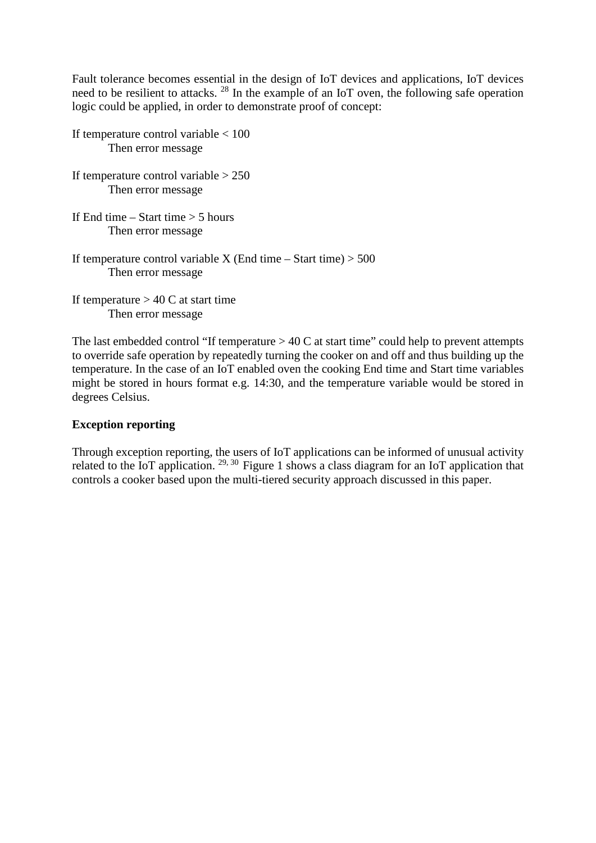Fault tolerance becomes essential in the design of IoT devices and applications, IoT devices need to be resilient to attacks. <sup>28</sup> In the example of an IoT oven, the following safe operation logic could be applied, in order to demonstrate proof of concept:

| If temperature control variable $< 100$<br>Then error message                            |
|------------------------------------------------------------------------------------------|
| If temperature control variable $> 250$<br>Then error message.                           |
| If End time $-$ Start time $>$ 5 hours<br>Then error message                             |
| If temperature control variable X (End time – Start time) $> 500$<br>Then error message. |
| $\mathbf{r} \cdot \mathbf{r} = \mathbf{r} \cdot \mathbf{r}$                              |

If temperature  $> 40$  C at start time Then error message

The last embedded control "If temperature  $> 40$  C at start time" could help to prevent attempts to override safe operation by repeatedly turning the cooker on and off and thus building up the temperature. In the case of an IoT enabled oven the cooking End time and Start time variables might be stored in hours format e.g. 14:30, and the temperature variable would be stored in degrees Celsius.

#### **Exception reporting**

Through exception reporting, the users of IoT applications can be informed of unusual activity related to the IoT application. <sup>29, 30</sup> Figure 1 shows a class diagram for an IoT application that controls a cooker based upon the multi-tiered security approach discussed in this paper.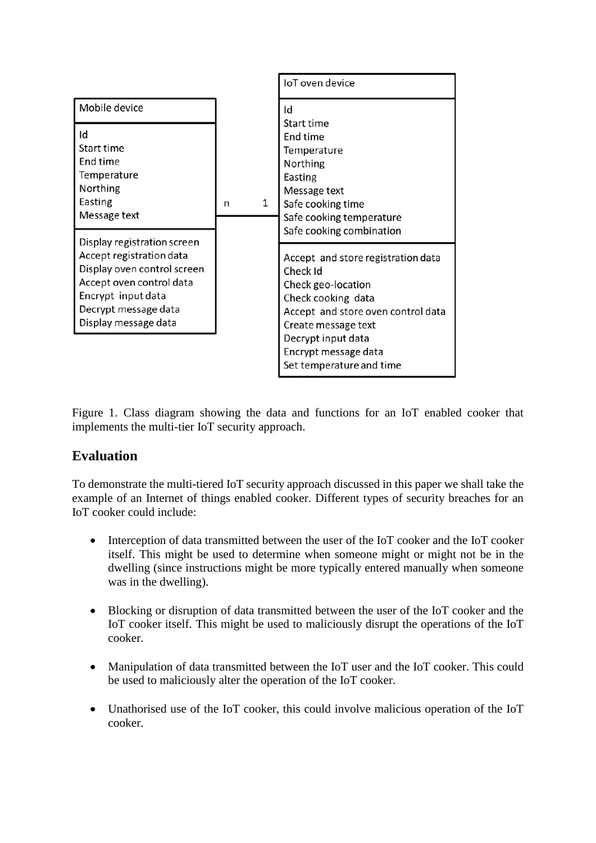

Figure 1. Class diagram showing the data and functions for an IoT enabled cooker that implements the multi-tier IoT security approach.

# **Evaluation**

To demonstrate the multi-tiered IoT security approach discussed in this paper we shall take the example of an Internet of things enabled cooker. Different types of security breaches for an IoT cooker could include:

- Interception of data transmitted between the user of the IoT cooker and the IoT cooker itself. This might be used to determine when someone might or might not be in the dwelling (since instructions might be more typically entered manually when someone was in the dwelling).
- Blocking or disruption of data transmitted between the user of the IoT cooker and the IoT cooker itself. This might be used to maliciously disrupt the operations of the IoT cooker.
- Manipulation of data transmitted between the IoT user and the IoT cooker. This could be used to maliciously alter the operation of the IoT cooker.
- Unathorised use of the IoT cooker, this could involve malicious operation of the IoT cooker.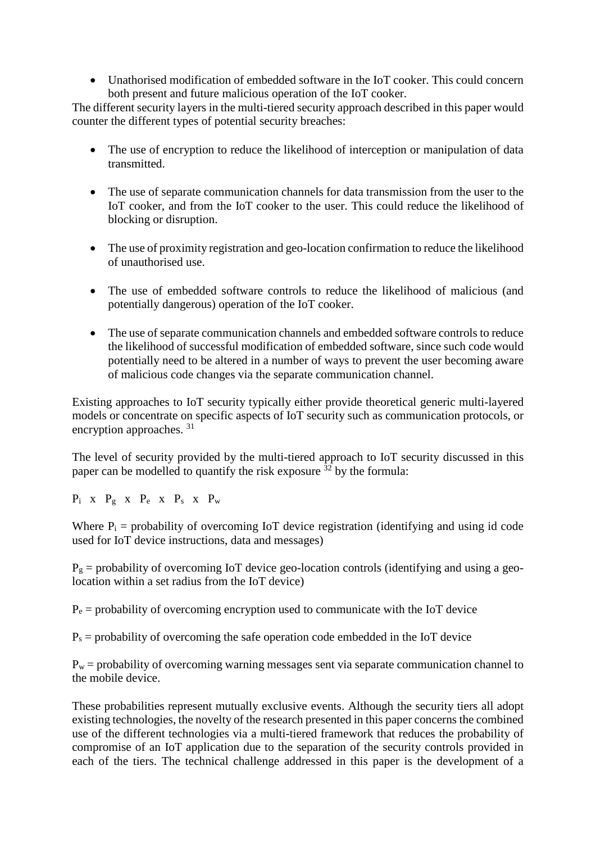• Unathorised modification of embedded software in the IoT cooker. This could concern both present and future malicious operation of the IoT cooker.

The different security layers in the multi-tiered security approach described in this paper would counter the different types of potential security breaches:

- The use of encryption to reduce the likelihood of interception or manipulation of data transmitted.
- The use of separate communication channels for data transmission from the user to the IoT cooker, and from the IoT cooker to the user. This could reduce the likelihood of blocking or disruption.
- The use of proximity registration and geo-location confirmation to reduce the likelihood of unauthorised use.
- The use of embedded software controls to reduce the likelihood of malicious (and potentially dangerous) operation of the IoT cooker.
- The use of separate communication channels and embedded software controls to reduce the likelihood of successful modification of embedded software, since such code would potentially need to be altered in a number of ways to prevent the user becoming aware of malicious code changes via the separate communication channel.

Existing approaches to IoT security typically either provide theoretical generic multi-layered models or concentrate on specific aspects of IoT security such as communication protocols, or encryption approaches. <sup>31</sup>

The level of security provided by the multi-tiered approach to IoT security discussed in this paper can be modelled to quantify the risk exposure  $32$  by the formula:

 $P_i$  x  $P_g$  x  $P_e$  x  $P_s$  x  $P_w$ 

Where  $P_i$  = probability of overcoming IoT device registration (identifying and using id code used for IoT device instructions, data and messages)

 $P_g$  = probability of overcoming IoT device geo-location controls (identifying and using a geolocation within a set radius from the IoT device)

 $P_e$  = probability of overcoming encryption used to communicate with the IoT device

 $P_s$  = probability of overcoming the safe operation code embedded in the IoT device

 $P_w$  = probability of overcoming warning messages sent via separate communication channel to the mobile device.

These probabilities represent mutually exclusive events. Although the security tiers all adopt existing technologies, the novelty of the research presented in this paper concerns the combined use of the different technologies via a multi-tiered framework that reduces the probability of compromise of an IoT application due to the separation of the security controls provided in each of the tiers. The technical challenge addressed in this paper is the development of a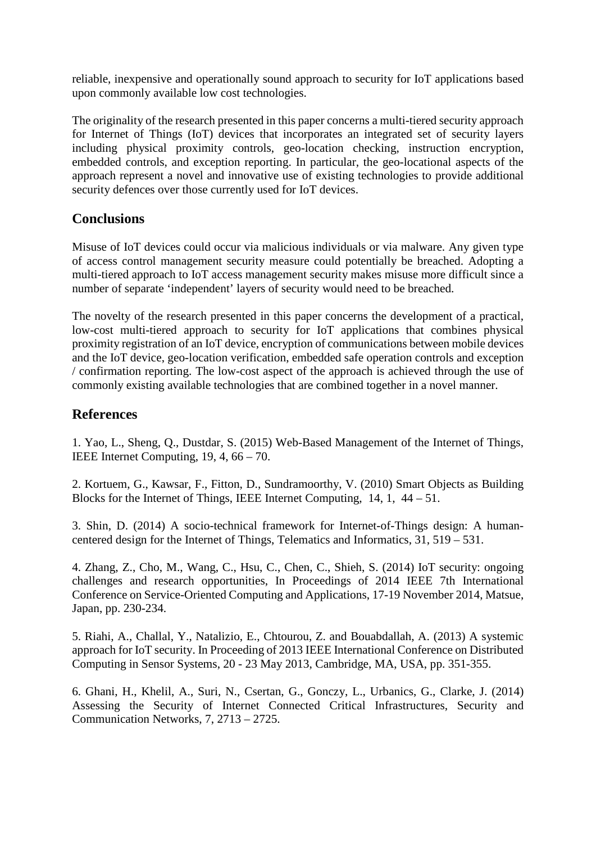reliable, inexpensive and operationally sound approach to security for IoT applications based upon commonly available low cost technologies.

The originality of the research presented in this paper concerns a multi-tiered security approach for Internet of Things (IoT) devices that incorporates an integrated set of security layers including physical proximity controls, geo-location checking, instruction encryption, embedded controls, and exception reporting. In particular, the geo-locational aspects of the approach represent a novel and innovative use of existing technologies to provide additional security defences over those currently used for IoT devices.

### **Conclusions**

Misuse of IoT devices could occur via malicious individuals or via malware. Any given type of access control management security measure could potentially be breached. Adopting a multi-tiered approach to IoT access management security makes misuse more difficult since a number of separate 'independent' layers of security would need to be breached.

The novelty of the research presented in this paper concerns the development of a practical, low-cost multi-tiered approach to security for IoT applications that combines physical proximity registration of an IoT device, encryption of communications between mobile devices and the IoT device, geo-location verification, embedded safe operation controls and exception / confirmation reporting. The low-cost aspect of the approach is achieved through the use of commonly existing available technologies that are combined together in a novel manner.

### **References**

1. Yao, L., Sheng, Q., Dustdar, S. (2015) Web-Based Management of the Internet of Things, IEEE Internet Computing, 19, 4, 66 – 70.

2. Kortuem, G., Kawsar, F., Fitton, D., Sundramoorthy, V. (2010) Smart Objects as Building Blocks for the Internet of Things, IEEE Internet Computing, 14, 1, 44 – 51.

3. Shin, D. (2014) A socio-technical framework for Internet-of-Things design: A humancentered design for the Internet of Things, Telematics and Informatics, 31, 519 – 531.

4. Zhang, Z., Cho, M., Wang, C., Hsu, C., Chen, C., Shieh, S. (2014) IoT security: ongoing challenges and research opportunities, In Proceedings of 2014 IEEE 7th International Conference on Service-Oriented Computing and Applications, 17-19 November 2014, Matsue, Japan, pp. 230-234.

5. Riahi, A., Challal, Y., Natalizio, E., Chtourou, Z. and Bouabdallah, A. (2013) A systemic approach for IoT security. In Proceeding of 2013 IEEE International Conference on Distributed Computing in Sensor Systems, 20 - 23 May 2013, Cambridge, MA, USA, pp. 351-355.

6. Ghani, H., Khelil, A., Suri, N., Csertan, G., Gonczy, L., Urbanics, G., Clarke, J. (2014) Assessing the Security of Internet Connected Critical Infrastructures, Security and Communication Networks, 7, 2713 – 2725.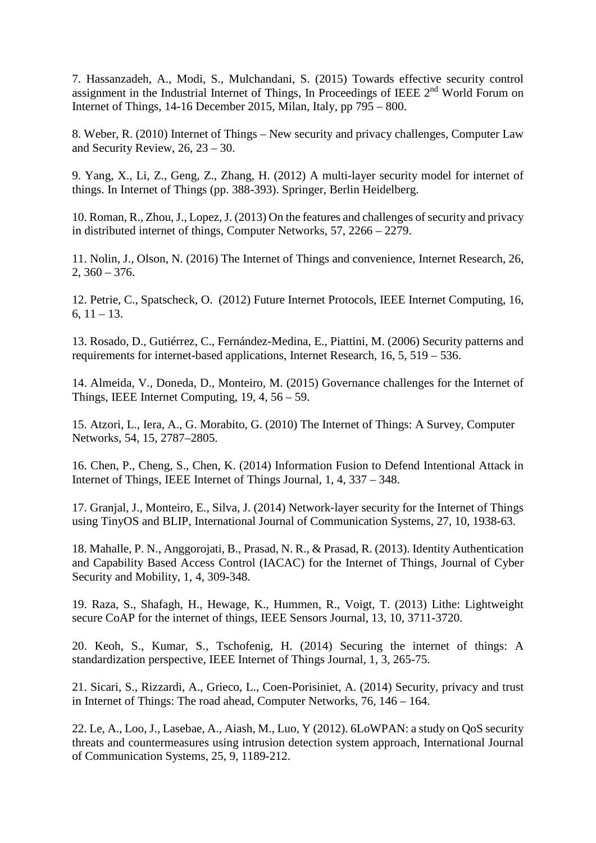7. Hassanzadeh, A., Modi, S., Mulchandani, S. (2015) Towards effective security control assignment in the Industrial Internet of Things, In Proceedings of IEEE 2<sup>nd</sup> World Forum on Internet of Things, 14-16 December 2015, Milan, Italy, pp  $795 - 800$ .

8. Weber, R. (2010) Internet of Things – New security and privacy challenges, Computer Law and Security Review, 26, 23 – 30.

9. Yang, X., Li, Z., Geng, Z., Zhang, H. (2012) A multi-layer security model for internet of things. In Internet of Things (pp. 388-393). Springer, Berlin Heidelberg.

10. Roman, R., Zhou, J., Lopez, J. (2013) On the features and challenges of security and privacy in distributed internet of things, Computer Networks, 57, 2266 – 2279.

11. Nolin, J., Olson, N. (2016) The Internet of Things and convenience, Internet Research, 26,  $2, 360 - 376.$ 

12. Petrie, C., Spatscheck, O. (2012) Future Internet Protocols, IEEE Internet Computing, 16, 6,  $11 - 13$ .

13. Rosado, D., Gutiérrez, C., Fernández-Medina, E., Piattini, M. (2006) Security patterns and requirements for internet-based applications, Internet Research, 16, 5, 519 – 536.

14. Almeida, V., Doneda, D., Monteiro, M. (2015) Governance challenges for the Internet of Things, IEEE Internet Computing, 19, 4, 56 – 59.

15. Atzori, L., Iera, A., G. Morabito, G. (2010) The Internet of Things: A Survey, Computer Networks, 54, 15, 2787–2805.

16. Chen, P., Cheng, S., Chen, K. (2014) Information Fusion to Defend Intentional Attack in Internet of Things, IEEE Internet of Things Journal, 1, 4, 337 – 348.

17. Granjal, J., Monteiro, E., Silva, J. (2014) Network‐layer security for the Internet of Things using TinyOS and BLIP, International Journal of Communication Systems, 27, 10, 1938-63.

18. Mahalle, P. N., Anggorojati, B., Prasad, N. R., & Prasad, R. (2013). Identity Authentication and Capability Based Access Control (IACAC) for the Internet of Things, Journal of Cyber Security and Mobility, 1, 4, 309-348.

19. Raza, S., Shafagh, H., Hewage, K., Hummen, R., Voigt, T. (2013) Lithe: Lightweight secure CoAP for the internet of things, IEEE Sensors Journal, 13, 10, 3711-3720.

20. Keoh, S., Kumar, S., Tschofenig, H. (2014) Securing the internet of things: A standardization perspective, IEEE Internet of Things Journal, 1, 3, 265-75.

21. Sicari, S., Rizzardi, A., Grieco, L., Coen-Porisiniet, A. (2014) Security, privacy and trust in Internet of Things: The road ahead, Computer Networks, 76, 146 – 164.

22. Le, A., Loo, J., Lasebae, A., Aiash, M., Luo, Y (2012). 6LoWPAN: a study on QoS security threats and countermeasures using intrusion detection system approach, International Journal of Communication Systems, 25, 9, 1189-212.